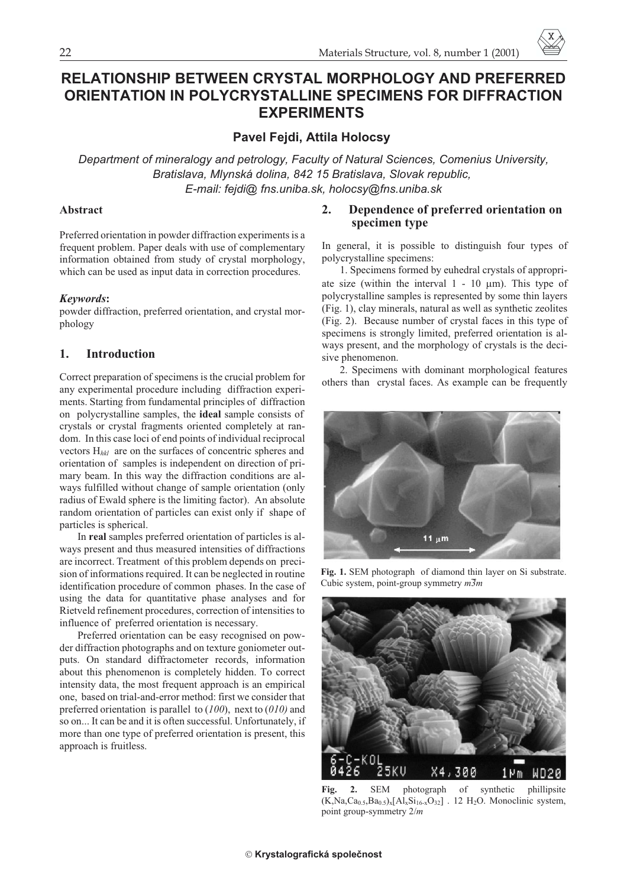# RELATIONSHIP BETWEEN CRYSTAL MORPHOLOGY AND PREFERRED **ORIENTATION IN POLYCRYSTALLINE SPECIMENS FOR DIFFRACTION EXPERIMENTS EXPERIMENTS**

**Pavel Fejdi, Attila Holocsy**

*Department of mineralogy and petrology, Faculty of Natural Sciences, Comenius University, Bratislava, Mlynská dolina, 842 15 Bratislava, Slovak republic, E-mail: fejdi@ fns.uniba.sk, holocsy@fns.uniba.sk*

#### **Abstract**

Preferred orientation in powder diffraction experiments is a frequent problem. Paper deals with use of complementary information obtained from study of crystal morphology, which can be used as input data in correction procedures.

#### *Keywords***:**

powder diffraction, preferred orientation, and crystal morphology

## **1. Introduction**

Correct preparation of specimens is the crucial problem for any experimental procedure including diffraction experiments. Starting from fundamental principles of diffraction on polycrystalline samples, the **ideal** sample consists of crystals or crystal fragments oriented completely at random. In this case loci of end points of individual reciprocal vectors H*hkl* are on the surfaces of concentric spheres and orientation of samples is independent on direction of primary beam. In this way the diffraction conditions are always fulfilled without change of sample orientation (only radius of Ewald sphere is the limiting factor). An absolute random orientation of particles can exist only if shape of particles is spherical.

In **real** samples preferred orientation of particles is always present and thus measured intensities of diffractions are incorrect. Treatment of this problem depends on precision of informations required. It can be neglected in routine identification procedure of common phases. In the case of using the data for quantitative phase analyses and for Rietveld refinement procedures, correction of intensities to influence of preferred orientation is necessary.

Preferred orientation can be easy recognised on powder diffraction photographs and on texture goniometer outputs. On standard diffractometer records, information about this phenomenon is completely hidden. To correct intensity data, the most frequent approach is an empirical one, based on trial-and-error method: first we consider that preferred orientation is parallel to (*100*), next to (*010)* and so on... It can be and it is often successful. Unfortunately, if more than one type of preferred orientation is present, this approach is fruitless.

## **2. Dependence of preferred orientation on specimen type**

In general, it is possible to distinguish four types of polycrystalline specimens:

1. Specimens formed by euhedral crystals of appropriate size (within the interval  $1 - 10 \mu m$ ). This type of polycrystalline samples is represented by some thin layers (Fig. 1), clay minerals, natural as well as synthetic zeolites (Fig. 2). Because number of crystal faces in this type of specimens is strongly limited, preferred orientation is always present, and the morphology of crystals is the decisive phenomenon.

2. Specimens with dominant morphological features others than crystal faces. As example can be frequently



**Fig. 1.** SEM photograph of diamond thin layer on Si substrate. Cubic system, point-group symmetry *m3m*



**Fig. 2.** SEM photograph of synthetic phillipsite  $(K,Na,Ca<sub>0.5</sub>,Ba<sub>0.5</sub>)<sub>x</sub>[Al<sub>x</sub>Si<sub>16-x</sub>O<sub>32</sub>]$ . 12 H<sub>2</sub>O. Monoclinic system, point group-symmetry 2/*m*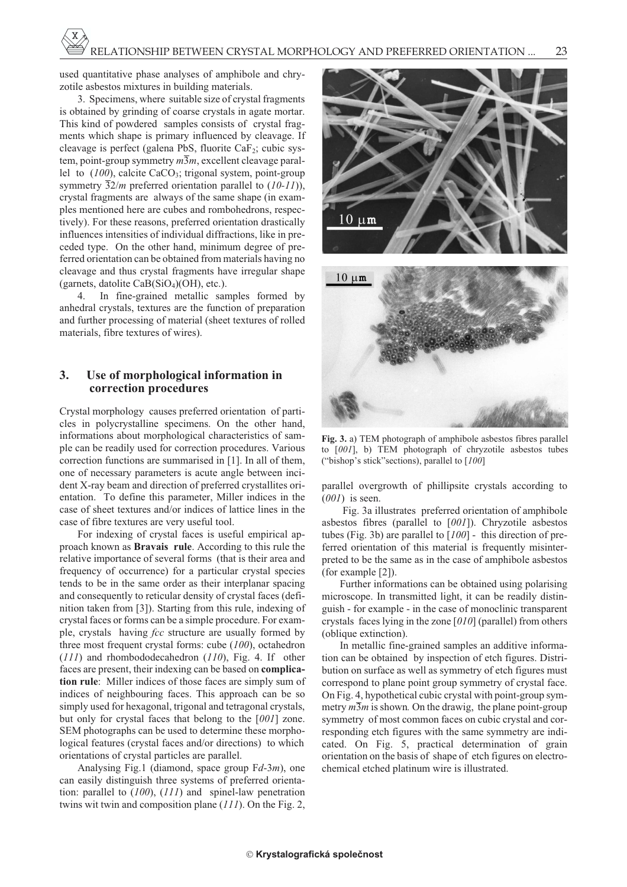used quantitative phase analyses of amphibole and chryzotile asbestos mixtures in building materials.

3. Specimens, where suitable size of crystal fragments is obtained by grinding of coarse crystals in agate mortar. This kind of powdered samples consists of crystal fragments which shape is primary influenced by cleavage. If cleavage is perfect (galena PbS, fluorite CaF<sub>2</sub>; cubic system, point-group symmetry *m*3*m*, excellent cleavage parallel to (100), calcite CaCO<sub>3</sub>; trigonal system, point-group symmetry 32/*m* preferred orientation parallel to (*10-11*)), crystal fragments are always of the same shape (in examples mentioned here are cubes and rombohedrons, respectively). For these reasons, preferred orientation drastically influences intensities of individual diffractions, like in preceded type. On the other hand, minimum degree of preferred orientation can be obtained from materials having no cleavage and thus crystal fragments have irregular shape (garnets, datolite  $CaB(SiO<sub>4</sub>)(OH)$ , etc.).

4. In fine-grained metallic samples formed by anhedral crystals, textures are the function of preparation and further processing of material (sheet textures of rolled materials, fibre textures of wires).

### **3. Use of morphological information in correction procedures**

Crystal morphology causes preferred orientation of particles in polycrystalline specimens. On the other hand, informations about morphological characteristics of sample can be readily used for correction procedures. Various correction functions are summarised in [1]. In all of them, one of necessary parameters is acute angle between incident X-ray beam and direction of preferred crystallites orientation. To define this parameter, Miller indices in the case of sheet textures and/or indices of lattice lines in the case of fibre textures are very useful tool.

For indexing of crystal faces is useful empirical approach known as **Bravais rule**. According to this rule the relative importance of several forms (that is their area and frequency of occurrence) for a particular crystal species tends to be in the same order as their interplanar spacing and consequently to reticular density of crystal faces (definition taken from [3]). Starting from this rule, indexing of crystal faces or forms can be a simple procedure. For example, crystals having *fcc* structure are usually formed by three most frequent crystal forms: cube (*100*), octahedron (*111*) and rhombododecahedron (*110*), Fig. 4. If other faces are present, their indexing can be based on **complication rule**: Miller indices of those faces are simply sum of indices of neighbouring faces. This approach can be so simply used for hexagonal, trigonal and tetragonal crystals, but only for crystal faces that belong to the [*001*] zone. SEM photographs can be used to determine these morphological features (crystal faces and/or directions) to which orientations of crystal particles are parallel.

Analysing Fig.1 (diamond, space group F*d*-3*m*), one can easily distinguish three systems of preferred orientation: parallel to (*100*), (*111*) and spinel-law penetration twins wit twin and composition plane (*111*). On the Fig. 2,



**Fig. 3.** a) TEM photograph of amphibole asbestos fibres parallel to [*001*], b) TEM photograph of chryzotile asbestos tubes ("bishop's stick"sections), parallel to [*100*]

parallel overgrowth of phillipsite crystals according to (*001*) is seen.

Fig. 3a illustrates preferred orientation of amphibole asbestos fibres (parallel to [*001*]). Chryzotile asbestos tubes (Fig. 3b) are parallel to [*100*] - this direction of preferred orientation of this material is frequently misinterpreted to be the same as in the case of amphibole asbestos (for example [2]).

Further informations can be obtained using polarising microscope. In transmitted light, it can be readily distinguish - for example - in the case of monoclinic transparent crystals faces lying in the zone [*010*] (parallel) from others (oblique extinction).

In metallic fine-grained samples an additive information can be obtained by inspection of etch figures. Distribution on surface as well as symmetry of etch figures must correspond to plane point group symmetry of crystal face. On Fig. 4, hypothetical cubic crystal with point-group symmetry  $m\overline{3}m$  is shown. On the drawig, the plane point-group symmetry of most common faces on cubic crystal and corresponding etch figures with the same symmetry are indicated. On Fig. 5, practical determination of grain orientation on the basis of shape of etch figures on electrochemical etched platinum wire is illustrated.